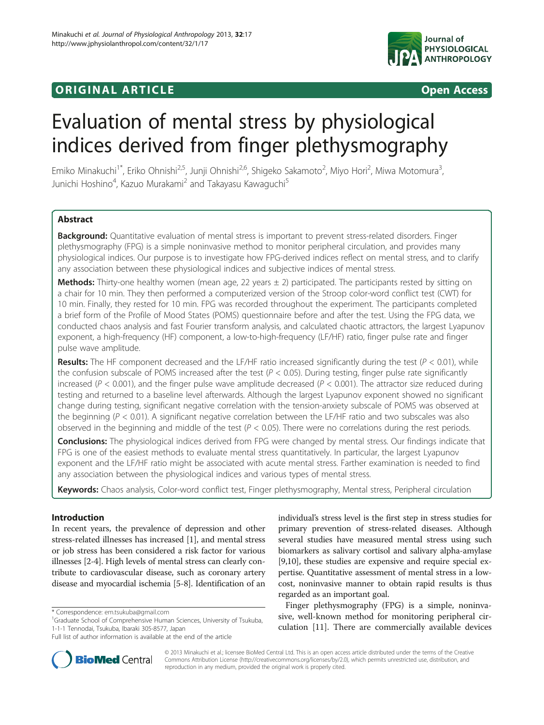## **ORIGINAL ARTICLE CONSUMING A LIGACION** CONSUMING A LIGACION CONSUMING A LIGACION CONSUMING A LIGACION CONSUMING A LIGACION CONSUMING A LIGACION CONSUMING A LIGACION CONSUMING A LIGACION CONSUMING A LIGACION CONSUMING A



# Evaluation of mental stress by physiological indices derived from finger plethysmography

Emiko Minakuchi<sup>1\*</sup>, Eriko Ohnishi<sup>2,5</sup>, Junji Ohnishi<sup>2,6</sup>, Shigeko Sakamoto<sup>2</sup>, Miyo Hori<sup>2</sup>, Miwa Motomura<sup>3</sup> , Junichi Hoshino<sup>4</sup>, Kazuo Murakami<sup>2</sup> and Takayasu Kawaguchi<sup>5</sup>

## Abstract

Background: Quantitative evaluation of mental stress is important to prevent stress-related disorders. Finger plethysmography (FPG) is a simple noninvasive method to monitor peripheral circulation, and provides many physiological indices. Our purpose is to investigate how FPG-derived indices reflect on mental stress, and to clarify any association between these physiological indices and subjective indices of mental stress.

**Methods:** Thirty-one healthy women (mean age, 22 years  $\pm$  2) participated. The participants rested by sitting on a chair for 10 min. They then performed a computerized version of the Stroop color-word conflict test (CWT) for 10 min. Finally, they rested for 10 min. FPG was recorded throughout the experiment. The participants completed a brief form of the Profile of Mood States (POMS) questionnaire before and after the test. Using the FPG data, we conducted chaos analysis and fast Fourier transform analysis, and calculated chaotic attractors, the largest Lyapunov exponent, a high-frequency (HF) component, a low-to-high-frequency (LF/HF) ratio, finger pulse rate and finger pulse wave amplitude.

Results: The HF component decreased and the LF/HF ratio increased significantly during the test ( $P < 0.01$ ), while the confusion subscale of POMS increased after the test ( $P < 0.05$ ). During testing, finger pulse rate significantly increased ( $P < 0.001$ ), and the finger pulse wave amplitude decreased ( $P < 0.001$ ). The attractor size reduced during testing and returned to a baseline level afterwards. Although the largest Lyapunov exponent showed no significant change during testing, significant negative correlation with the tension-anxiety subscale of POMS was observed at the beginning ( $P < 0.01$ ). A significant negative correlation between the LF/HF ratio and two subscales was also observed in the beginning and middle of the test ( $P < 0.05$ ). There were no correlations during the rest periods.

Conclusions: The physiological indices derived from FPG were changed by mental stress. Our findings indicate that FPG is one of the easiest methods to evaluate mental stress quantitatively. In particular, the largest Lyapunov exponent and the LF/HF ratio might be associated with acute mental stress. Farther examination is needed to find any association between the physiological indices and various types of mental stress.

Keywords: Chaos analysis, Color-word conflict test, Finger plethysmography, Mental stress, Peripheral circulation

## Introduction

In recent years, the prevalence of depression and other stress-related illnesses has increased [\[1](#page-9-0)], and mental stress or job stress has been considered a risk factor for various illnesses [[2-4\]](#page-9-0). High levels of mental stress can clearly contribute to cardiovascular disease, such as coronary artery disease and myocardial ischemia [[5-8\]](#page-9-0). Identification of an



Finger plethysmography (FPG) is a simple, noninvasive, well-known method for monitoring peripheral circulation [\[11](#page-9-0)]. There are commercially available devices



© 2013 Minakuchi et al.; licensee BioMed Central Ltd. This is an open access article distributed under the terms of the Creative Commons Attribution License [\(http://creativecommons.org/licenses/by/2.0\)](http://creativecommons.org/licenses/by/2.0), which permits unrestricted use, distribution, and reproduction in any medium, provided the original work is properly cited.

<sup>\*</sup> Correspondence: [em.tsukuba@gmail.com](mailto:em.tsukuba@gmail.com) <sup>1</sup>

<sup>&</sup>lt;sup>1</sup>Graduate School of Comprehensive Human Sciences, University of Tsukuba, 1-1-1 Tennodai, Tsukuba, Ibaraki 305-8577, Japan

Full list of author information is available at the end of the article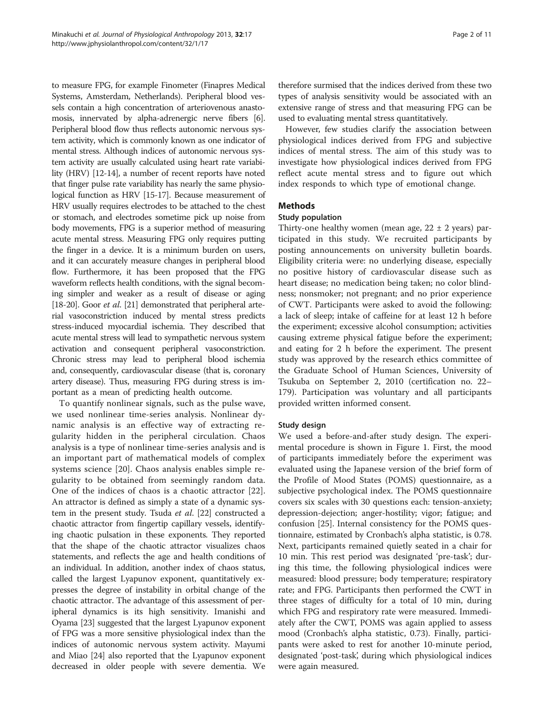to measure FPG, for example Finometer (Finapres Medical Systems, Amsterdam, Netherlands). Peripheral blood vessels contain a high concentration of arteriovenous anastomosis, innervated by alpha-adrenergic nerve fibers [[6](#page-9-0)]. Peripheral blood flow thus reflects autonomic nervous system activity, which is commonly known as one indicator of mental stress. Although indices of autonomic nervous system activity are usually calculated using heart rate variability (HRV) [\[12-14\]](#page-9-0), a number of recent reports have noted that finger pulse rate variability has nearly the same physiological function as HRV [\[15](#page-9-0)-[17](#page-9-0)]. Because measurement of HRV usually requires electrodes to be attached to the chest or stomach, and electrodes sometime pick up noise from body movements, FPG is a superior method of measuring acute mental stress. Measuring FPG only requires putting the finger in a device. It is a minimum burden on users, and it can accurately measure changes in peripheral blood flow. Furthermore, it has been proposed that the FPG waveform reflects health conditions, with the signal becoming simpler and weaker as a result of disease or aging [[18](#page-9-0)-[20\]](#page-10-0). Goor *et al.* [\[21](#page-10-0)] demonstrated that peripheral arterial vasoconstriction induced by mental stress predicts stress-induced myocardial ischemia. They described that acute mental stress will lead to sympathetic nervous system activation and consequent peripheral vasoconstriction. Chronic stress may lead to peripheral blood ischemia and, consequently, cardiovascular disease (that is, coronary artery disease). Thus, measuring FPG during stress is important as a mean of predicting health outcome.

To quantify nonlinear signals, such as the pulse wave, we used nonlinear time-series analysis. Nonlinear dynamic analysis is an effective way of extracting regularity hidden in the peripheral circulation. Chaos analysis is a type of nonlinear time-series analysis and is an important part of mathematical models of complex systems science [\[20](#page-10-0)]. Chaos analysis enables simple regularity to be obtained from seemingly random data. One of the indices of chaos is a chaotic attractor [\[22](#page-10-0)]. An attractor is defined as simply a state of a dynamic sys-tem in the present study. Tsuda et al. [\[22\]](#page-10-0) constructed a chaotic attractor from fingertip capillary vessels, identifying chaotic pulsation in these exponents. They reported that the shape of the chaotic attractor visualizes chaos statements, and reflects the age and health conditions of an individual. In addition, another index of chaos status, called the largest Lyapunov exponent, quantitatively expresses the degree of instability in orbital change of the chaotic attractor. The advantage of this assessment of peripheral dynamics is its high sensitivity. Imanishi and Oyama [\[23\]](#page-10-0) suggested that the largest Lyapunov exponent of FPG was a more sensitive physiological index than the indices of autonomic nervous system activity. Mayumi and Miao [\[24](#page-10-0)] also reported that the Lyapunov exponent decreased in older people with severe dementia. We therefore surmised that the indices derived from these two types of analysis sensitivity would be associated with an extensive range of stress and that measuring FPG can be used to evaluating mental stress quantitatively.

However, few studies clarify the association between physiological indices derived from FPG and subjective indices of mental stress. The aim of this study was to investigate how physiological indices derived from FPG reflect acute mental stress and to figure out which index responds to which type of emotional change.

## Methods

## Study population

Thirty-one healthy women (mean age,  $22 \pm 2$  years) participated in this study. We recruited participants by posting announcements on university bulletin boards. Eligibility criteria were: no underlying disease, especially no positive history of cardiovascular disease such as heart disease; no medication being taken; no color blindness; nonsmoker; not pregnant; and no prior experience of CWT. Participants were asked to avoid the following: a lack of sleep; intake of caffeine for at least 12 h before the experiment; excessive alcohol consumption; activities causing extreme physical fatigue before the experiment; and eating for 2 h before the experiment. The present study was approved by the research ethics committee of the Graduate School of Human Sciences, University of Tsukuba on September 2, 2010 (certification no. 22– 179). Participation was voluntary and all participants provided written informed consent.

## Study design

We used a before-and-after study design. The experimental procedure is shown in Figure [1](#page-2-0). First, the mood of participants immediately before the experiment was evaluated using the Japanese version of the brief form of the Profile of Mood States (POMS) questionnaire, as a subjective psychological index. The POMS questionnaire covers six scales with 30 questions each: tension-anxiety; depression-dejection; anger-hostility; vigor; fatigue; and confusion [\[25\]](#page-10-0). Internal consistency for the POMS questionnaire, estimated by Cronbach's alpha statistic, is 0.78. Next, participants remained quietly seated in a chair for 10 min. This rest period was designated 'pre-task'; during this time, the following physiological indices were measured: blood pressure; body temperature; respiratory rate; and FPG. Participants then performed the CWT in three stages of difficulty for a total of 10 min, during which FPG and respiratory rate were measured. Immediately after the CWT, POMS was again applied to assess mood (Cronbach's alpha statistic, 0.73). Finally, participants were asked to rest for another 10-minute period, designated 'post-task', during which physiological indices were again measured.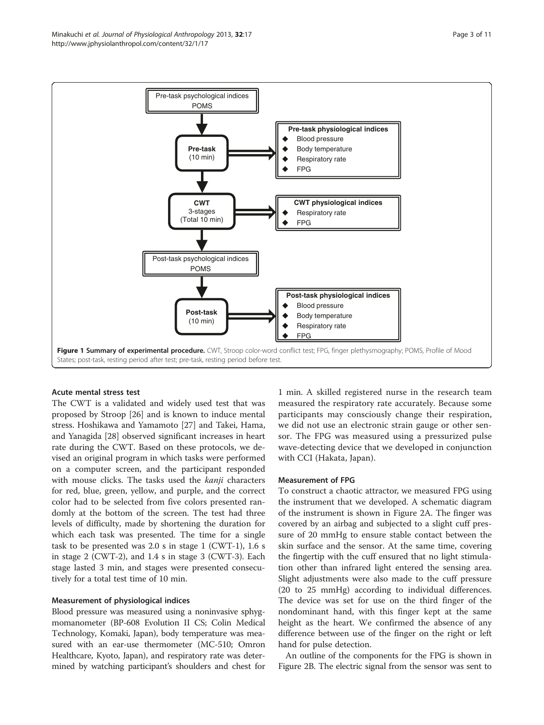<span id="page-2-0"></span>

#### Acute mental stress test

The CWT is a validated and widely used test that was proposed by Stroop [[26](#page-10-0)] and is known to induce mental stress. Hoshikawa and Yamamoto [[27\]](#page-10-0) and Takei, Hama, and Yanagida [[28\]](#page-10-0) observed significant increases in heart rate during the CWT. Based on these protocols, we devised an original program in which tasks were performed on a computer screen, and the participant responded with mouse clicks. The tasks used the *kanji* characters for red, blue, green, yellow, and purple, and the correct color had to be selected from five colors presented randomly at the bottom of the screen. The test had three levels of difficulty, made by shortening the duration for which each task was presented. The time for a single task to be presented was 2.0 s in stage 1 (CWT-1), 1.6 s in stage 2 (CWT-2), and 1.4 s in stage 3 (CWT-3). Each stage lasted 3 min, and stages were presented consecutively for a total test time of 10 min.

#### Measurement of physiological indices

Blood pressure was measured using a noninvasive sphygmomanometer (BP-608 Evolution II CS; Colin Medical Technology, Komaki, Japan), body temperature was measured with an ear-use thermometer (MC-510; Omron Healthcare, Kyoto, Japan), and respiratory rate was determined by watching participant's shoulders and chest for

1 min. A skilled registered nurse in the research team measured the respiratory rate accurately. Because some participants may consciously change their respiration, we did not use an electronic strain gauge or other sensor. The FPG was measured using a pressurized pulse wave-detecting device that we developed in conjunction with CCI (Hakata, Japan).

#### Measurement of FPG

To construct a chaotic attractor, we measured FPG using the instrument that we developed. A schematic diagram of the instrument is shown in Figure [2A](#page-3-0). The finger was covered by an airbag and subjected to a slight cuff pressure of 20 mmHg to ensure stable contact between the skin surface and the sensor. At the same time, covering the fingertip with the cuff ensured that no light stimulation other than infrared light entered the sensing area. Slight adjustments were also made to the cuff pressure (20 to 25 mmHg) according to individual differences. The device was set for use on the third finger of the nondominant hand, with this finger kept at the same height as the heart. We confirmed the absence of any difference between use of the finger on the right or left hand for pulse detection.

An outline of the components for the FPG is shown in Figure [2B](#page-3-0). The electric signal from the sensor was sent to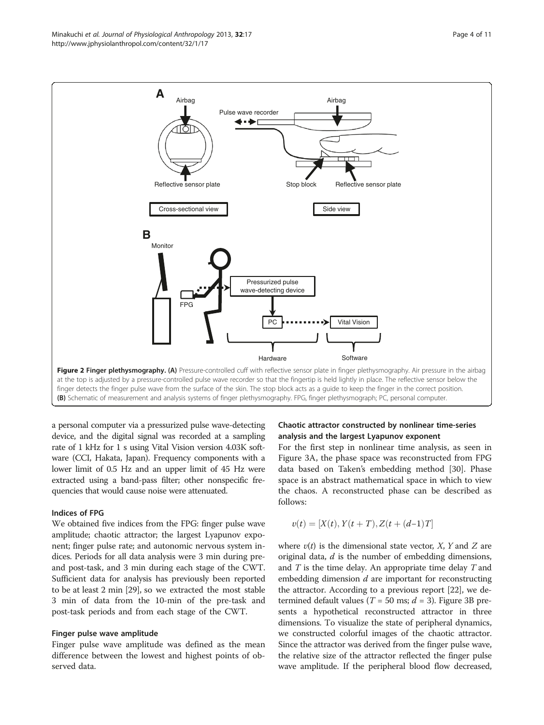<span id="page-3-0"></span>

a personal computer via a pressurized pulse wave-detecting device, and the digital signal was recorded at a sampling rate of 1 kHz for 1 s using Vital Vision version 4.03K software (CCI, Hakata, Japan). Frequency components with a lower limit of 0.5 Hz and an upper limit of 45 Hz were extracted using a band-pass filter; other nonspecific frequencies that would cause noise were attenuated.

## Indices of FPG

We obtained five indices from the FPG: finger pulse wave amplitude; chaotic attractor; the largest Lyapunov exponent; finger pulse rate; and autonomic nervous system indices. Periods for all data analysis were 3 min during preand post-task, and 3 min during each stage of the CWT. Sufficient data for analysis has previously been reported to be at least 2 min [\[29\]](#page-10-0), so we extracted the most stable 3 min of data from the 10-min of the pre-task and post-task periods and from each stage of the CWT.

#### Finger pulse wave amplitude

Finger pulse wave amplitude was defined as the mean difference between the lowest and highest points of observed data.

## Chaotic attractor constructed by nonlinear time-series analysis and the largest Lyapunov exponent

For the first step in nonlinear time analysis, as seen in Figure [3A](#page-4-0), the phase space was reconstructed from FPG data based on Taken's embedding method [[30\]](#page-10-0). Phase space is an abstract mathematical space in which to view the chaos. A reconstructed phase can be described as follows:

$$
v(t) = [X(t), Y(t+T), Z(t+(d-1)T]
$$

where  $v(t)$  is the dimensional state vector, X, Y and Z are original data,  $d$  is the number of embedding dimensions, and  $T$  is the time delay. An appropriate time delay  $T$  and embedding dimension  $d$  are important for reconstructing the attractor. According to a previous report [\[22\]](#page-10-0), we determined default values ( $T = 50$  ms;  $d = 3$  $d = 3$ ). Figure 3B presents a hypothetical reconstructed attractor in three dimensions. To visualize the state of peripheral dynamics, we constructed colorful images of the chaotic attractor. Since the attractor was derived from the finger pulse wave, the relative size of the attractor reflected the finger pulse wave amplitude. If the peripheral blood flow decreased,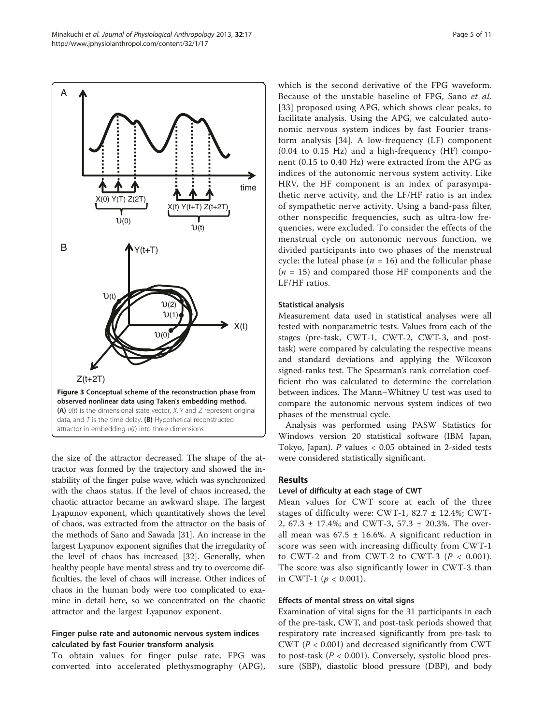the size of the attractor decreased. The shape of the attractor was formed by the trajectory and showed the instability of the finger pulse wave, which was synchronized with the chaos status. If the level of chaos increased, the chaotic attractor became an awkward shape. The largest Lyapunov exponent, which quantitatively shows the level

of chaos, was extracted from the attractor on the basis of the methods of Sano and Sawada [\[31\]](#page-10-0). An increase in the largest Lyapunov exponent signifies that the irregularity of the level of chaos has increased [\[32\]](#page-10-0). Generally, when healthy people have mental stress and try to overcome difficulties, the level of chaos will increase. Other indices of chaos in the human body were too complicated to examine in detail here, so we concentrated on the chaotic

# attractor and the largest Lyapunov exponent.

## Finger pulse rate and autonomic nervous system indices calculated by fast Fourier transform analysis

To obtain values for finger pulse rate, FPG was converted into accelerated plethysmography (APG), which is the second derivative of the FPG waveform. Because of the unstable baseline of FPG, Sano et al. [[33](#page-10-0)] proposed using APG, which shows clear peaks, to facilitate analysis. Using the APG, we calculated autonomic nervous system indices by fast Fourier transform analysis [[34\]](#page-10-0). A low-frequency (LF) component (0.04 to 0.15 Hz) and a high-frequency (HF) component (0.15 to 0.40 Hz) were extracted from the APG as indices of the autonomic nervous system activity. Like HRV, the HF component is an index of parasympathetic nerve activity, and the LF/HF ratio is an index of sympathetic nerve activity. Using a band-pass filter, other nonspecific frequencies, such as ultra-low frequencies, were excluded. To consider the effects of the menstrual cycle on autonomic nervous function, we divided participants into two phases of the menstrual cycle: the luteal phase ( $n = 16$ ) and the follicular phase  $(n = 15)$  and compared those HF components and the LF/HF ratios.

## Statistical analysis

Measurement data used in statistical analyses were all tested with nonparametric tests. Values from each of the stages (pre-task, CWT-1, CWT-2, CWT-3, and posttask) were compared by calculating the respective means and standard deviations and applying the Wilcoxon signed-ranks test. The Spearman's rank correlation coefficient rho was calculated to determine the correlation between indices. The Mann–Whitney U test was used to compare the autonomic nervous system indices of two phases of the menstrual cycle.

Analysis was performed using PASW Statistics for Windows version 20 statistical software (IBM Japan, Tokyo, Japan).  $P$  values < 0.05 obtained in 2-sided tests were considered statistically significant.

## Results

## Level of difficulty at each stage of CWT

Mean values for CWT score at each of the three stages of difficulty were: CWT-1, 82.7 ± 12.4%; CWT-2, 67.3 ± 17.4%; and CWT-3, 57.3 ± 20.3%. The overall mean was  $67.5 \pm 16.6$ %. A significant reduction in score was seen with increasing difficulty from CWT-1 to CWT-2 and from CWT-2 to CWT-3  $(P < 0.001)$ . The score was also significantly lower in CWT-3 than in CWT-1 ( $p < 0.001$ ).

## Effects of mental stress on vital signs

Examination of vital signs for the 31 participants in each of the pre-task, CWT, and post-task periods showed that respiratory rate increased significantly from pre-task to CWT ( $P < 0.001$ ) and decreased significantly from CWT to post-task ( $P < 0.001$ ). Conversely, systolic blood pressure (SBP), diastolic blood pressure (DBP), and body

<span id="page-4-0"></span>

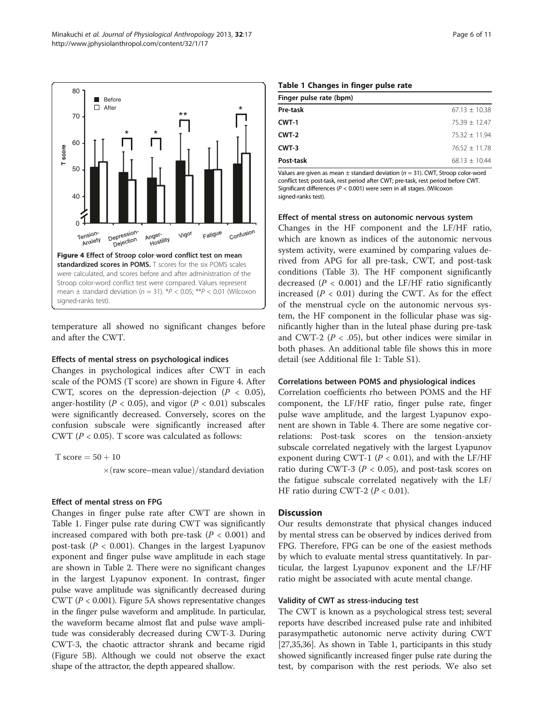<span id="page-5-0"></span>

temperature all showed no significant changes before and after the CWT.

#### Effects of mental stress on psychological indices

Changes in psychological indices after CWT in each scale of the POMS (T score) are shown in Figure 4. After CWT, scores on the depression-dejection  $(P < 0.05)$ , anger-hostility ( $P < 0.05$ ), and vigor ( $P < 0.01$ ) subscales were significantly decreased. Conversely, scores on the confusion subscale were significantly increased after CWT ( $P < 0.05$ ). T score was calculated as follows:

T score  $= 50 + 10$ 

 $\times$ (raw score–mean value)/standard deviation

### Effect of mental stress on FPG

Changes in finger pulse rate after CWT are shown in Table 1. Finger pulse rate during CWT was significantly increased compared with both pre-task ( $P < 0.001$ ) and post-task ( $P < 0.001$ ). Changes in the largest Lyapunov exponent and finger pulse wave amplitude in each stage are shown in Table [2.](#page-6-0) There were no significant changes in the largest Lyapunov exponent. In contrast, finger pulse wave amplitude was significantly decreased during CWT ( $P < 0.001$ ). Figure [5](#page-6-0)A shows representative changes in the finger pulse waveform and amplitude. In particular, the waveform became almost flat and pulse wave amplitude was considerably decreased during CWT-3. During CWT-3, the chaotic attractor shrank and became rigid (Figure [5](#page-6-0)B). Although we could not observe the exact shape of the attractor, the depth appeared shallow.

#### Table 1 Changes in finger pulse rate

| Finger pulse rate (bpm) |                 |  |  |  |
|-------------------------|-----------------|--|--|--|
| Pre-task                | $67.13 + 10.38$ |  |  |  |
| $CWT-1$                 | $75.39 + 12.47$ |  |  |  |
| CWT-2                   | $75.32 + 11.94$ |  |  |  |
| CWT-3                   | $76.52 + 11.78$ |  |  |  |
| Post-task               | $68.13 + 10.44$ |  |  |  |

Values are given as mean  $\pm$  standard deviation ( $n = 31$ ). CWT, Stroop color-word conflict test; post-task, rest period after CWT; pre-task, rest period before CWT. Significant differences ( $P < 0.001$ ) were seen in all stages. (Wilcoxon signed-ranks test).

#### Effect of mental stress on autonomic nervous system

Changes in the HF component and the LF/HF ratio, which are known as indices of the autonomic nervous system activity, were examined by comparing values derived from APG for all pre-task, CWT, and post-task conditions (Table [3](#page-7-0)). The HF component significantly decreased ( $P < 0.001$ ) and the LF/HF ratio significantly increased  $(P < 0.01)$  during the CWT. As for the effect of the menstrual cycle on the autonomic nervous system, the HF component in the follicular phase was significantly higher than in the luteal phase during pre-task and CWT-2 ( $P < .05$ ), but other indices were similar in both phases. An additional table file shows this in more detail (see Additional file [1:](#page-9-0) Table S1).

#### Correlations between POMS and physiological indices

Correlation coefficients rho between POMS and the HF component, the LF/HF ratio, finger pulse rate, finger pulse wave amplitude, and the largest Lyapunov exponent are shown in Table [4.](#page-7-0) There are some negative correlations: Post-task scores on the tension-anxiety subscale correlated negatively with the largest Lyapunov exponent during CWT-1 ( $P < 0.01$ ), and with the LF/HF ratio during CWT-3 ( $P < 0.05$ ), and post-task scores on the fatigue subscale correlated negatively with the LF/ HF ratio during CWT-2 ( $P < 0.01$ ).

## **Discussion**

Our results demonstrate that physical changes induced by mental stress can be observed by indices derived from FPG. Therefore, FPG can be one of the easiest methods by which to evaluate mental stress quantitatively. In particular, the largest Lyapunov exponent and the LF/HF ratio might be associated with acute mental change.

#### Validity of CWT as stress-inducing test

The CWT is known as a psychological stress test; several reports have described increased pulse rate and inhibited parasympathetic autonomic nerve activity during CWT [[27,35,36\]](#page-10-0). As shown in Table 1, participants in this study showed significantly increased finger pulse rate during the test, by comparison with the rest periods. We also set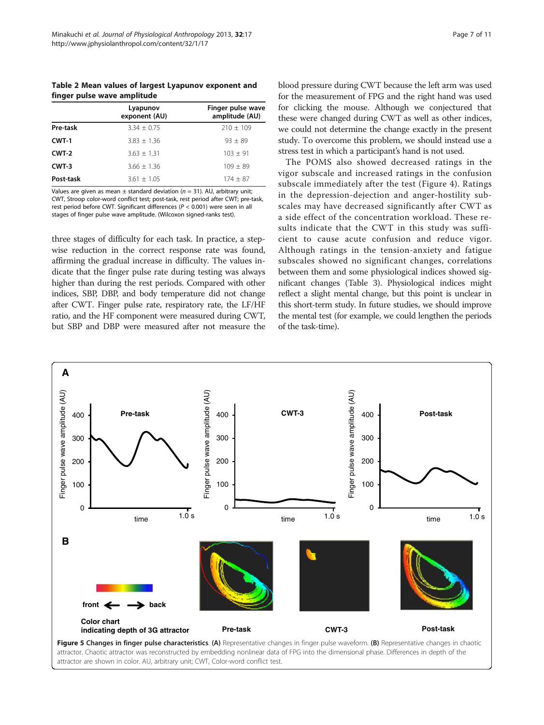<span id="page-6-0"></span>Table 2 Mean values of largest Lyapunov exponent and finger pulse wave amplitude

|           | Lyapunov<br>exponent (AU) | Finger pulse wave<br>amplitude (AU) |  |  |
|-----------|---------------------------|-------------------------------------|--|--|
| Pre-task  | $3.34 + 0.75$             | $210 + 109$                         |  |  |
| CWT-1     | $3.83 + 1.36$             | $93 + 89$                           |  |  |
| $CWT-2$   | $3.63 + 1.31$             | $103 \pm 91$                        |  |  |
| $CWT-3$   | $3.66 + 1.36$             | $109 + 89$                          |  |  |
| Post-task | $3.61 \pm 1.05$           | $174 + 87$                          |  |  |

Values are given as mean ± standard deviation (n = 31). AU, arbitrary unit; CWT, Stroop color-word conflict test; post-task, rest period after CWT; pre-task, rest period before CWT. Significant differences (P < 0.001) were seen in all stages of finger pulse wave amplitude. (Wilcoxon signed-ranks test).

three stages of difficulty for each task. In practice, a stepwise reduction in the correct response rate was found, affirming the gradual increase in difficulty. The values indicate that the finger pulse rate during testing was always higher than during the rest periods. Compared with other indices, SBP, DBP, and body temperature did not change after CWT. Finger pulse rate, respiratory rate, the LF/HF ratio, and the HF component were measured during CWT, but SBP and DBP were measured after not measure the

blood pressure during CWT because the left arm was used for the measurement of FPG and the right hand was used for clicking the mouse. Although we conjectured that these were changed during CWT as well as other indices, we could not determine the change exactly in the present study. To overcome this problem, we should instead use a stress test in which a participant's hand is not used.

The POMS also showed decreased ratings in the vigor subscale and increased ratings in the confusion subscale immediately after the test (Figure [4\)](#page-5-0). Ratings in the depression-dejection and anger-hostility subscales may have decreased significantly after CWT as a side effect of the concentration workload. These results indicate that the CWT in this study was sufficient to cause acute confusion and reduce vigor. Although ratings in the tension-anxiety and fatigue subscales showed no significant changes, correlations between them and some physiological indices showed significant changes (Table [3](#page-7-0)). Physiological indices might reflect a slight mental change, but this point is unclear in this short-term study. In future studies, we should improve the mental test (for example, we could lengthen the periods of the task-time).

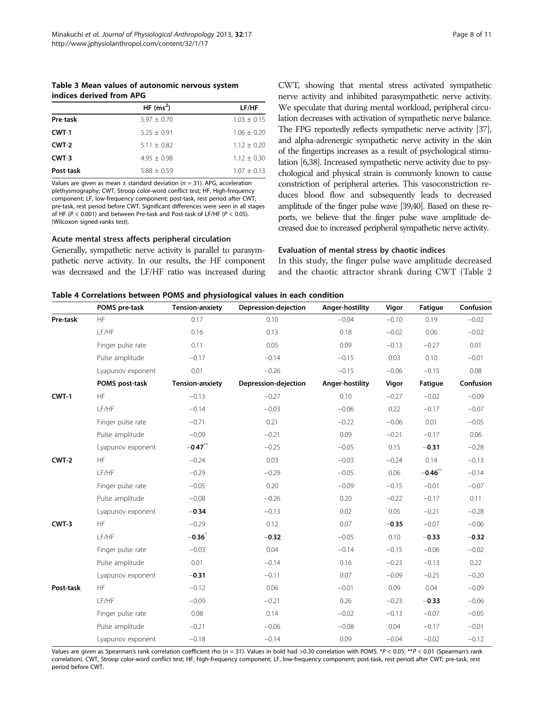<span id="page-7-0"></span>Table 3 Mean values of autonomic nervous system indices derived from APG

|           | HF $(ms^2)$   | LF/HF           |
|-----------|---------------|-----------------|
| Pre-task  | $5.97 + 0.70$ | $1.03 + 0.15$   |
| $CWT-1$   | $5.25 + 0.91$ | $1.06 + 0.20$   |
| $CWT-2$   | $5.11 + 0.82$ | $1.12 + 0.20$   |
| $CWT-3$   | $4.95 + 0.98$ | $1.12 + 0.30$   |
| Post-task | $5.88 + 0.59$ | $1.07 \pm 0.13$ |

Values are given as mean  $\pm$  standard deviation ( $n = 31$ ). APG, acceleration plethysmography; CWT, Stroop color-word conflict test; HF, High-frequency component; LF, low-frequency component; post-task, rest period after CWT; pre-task, rest period before CWT. Significant differences were seen in all stages of HF ( $P < 0.001$ ) and between Pre-task and Post-task of LF/HF ( $P < 0.05$ ). (Wilcoxon signed-ranks test).

#### Acute mental stress affects peripheral circulation

Generally, sympathetic nerve activity is parallel to parasympathetic nerve activity. In our results, the HF component was decreased and the LF/HF ratio was increased during CWT, showing that mental stress activated sympathetic nerve activity and inhibited parasympathetic nerve activity. We speculate that during mental workload, peripheral circulation decreases with activation of sympathetic nerve balance. The FPG reportedly reflects sympathetic nerve activity [\[37\]](#page-10-0), and alpha-adrenergic sympathetic nerve activity in the skin of the fingertips increases as a result of psychological stimulation [[6](#page-9-0)[,38](#page-10-0)]. Increased sympathetic nerve activity due to psychological and physical strain is commonly known to cause constriction of peripheral arteries. This vasoconstriction reduces blood flow and subsequently leads to decreased amplitude of the finger pulse wave [\[39,40](#page-10-0)]. Based on these reports, we believe that the finger pulse wave amplitude decreased due to increased peripheral sympathetic nerve activity.

#### Evaluation of mental stress by chaotic indices

In this study, the finger pulse wave amplitude decreased and the chaotic attractor shrank during CWT (Table [2](#page-6-0)

| Table 4 Correlations between POMS and physiological values in each condition |  |  |  |
|------------------------------------------------------------------------------|--|--|--|
|------------------------------------------------------------------------------|--|--|--|

|           | POMS pre-task     | <b>Tension-anxiety</b> | Depression-dejection | Anger-hostility | Vigor   | Fatigue        | Confusion |
|-----------|-------------------|------------------------|----------------------|-----------------|---------|----------------|-----------|
| Pre-task  | HF                | 0.17                   | 0.10                 | $-0.04$         | $-0.10$ | 0.19           | $-0.02$   |
|           | LF/HF             | 0.16                   | 0.13                 | 0.18            | $-0.02$ | 0.06           | $-0.02$   |
|           | Finger pulse rate | 0.11                   | 0.05                 | 0.09            | $-0.13$ | $-0.27$        | 0.01      |
|           | Pulse amplitude   | $-0.17$                | $-0.14$              | $-0.15$         | 0.03    | 0.10           | $-0.01$   |
|           | Lyapunov exponent | 0.01                   | $-0.26$              | $-0.15$         | $-0.06$ | $-0.15$        | 0.08      |
|           | POMS post-task    | <b>Tension-anxiety</b> | Depression-dejection | Anger-hostility | Vigor   | <b>Fatique</b> | Confusion |
| CWT-1     | HF                | $-0.13$                | $-0.27$              | 0.10            | $-0.27$ | $-0.02$        | $-0.09$   |
|           | LF/HF             | $-0.14$                | $-0.03$              | $-0.06$         | 0.22    | $-0.17$        | $-0.07$   |
|           | Finger pulse rate | $-0.71$                | 0.21                 | $-0.22$         | $-0.06$ | 0.01           | $-0.05$   |
|           | Pulse amplitude   | $-0.09$                | $-0.21$              | 0.09            | $-0.21$ | $-0.17$        | 0.06      |
|           | Lyapunov exponent | $-0.47$ **             | $-0.25$              | $-0.05$         | 0.15    | $-0.31$        | $-0.28$   |
| CWT-2     | HF                | $-0.24$                | 0.03                 | $-0.03$         | $-0.24$ | 0.14           | $-0.13$   |
|           | LF/HF             | $-0.29$                | $-0.29$              | $-0.05$         | 0.06    | $-0.46$ **     | $-0.14$   |
|           | Finger pulse rate | $-0.05$                | 0.20                 | $-0.09$         | $-0.15$ | $-0.01$        | $-0.07$   |
|           | Pulse amplitude   | $-0.08$                | $-0.26$              | 0.20            | $-0.22$ | $-0.17$        | 0.11      |
|           | Lyapunov exponent | $-0.34$                | $-0.13$              | 0.02            | 0.05    | $-0.21$        | $-0.28$   |
| CWT-3     | HF                | $-0.29$                | 0.12                 | 0.07            | $-0.35$ | $-0.07$        | $-0.06$   |
|           | LF/HF             | $-0.36$                | $-0.32$              | $-0.05$         | 0.10    | $-0.33$        | $-0.32$   |
|           | Finger pulse rate | $-0.03$                | 0.04                 | $-0.14$         | $-0.15$ | $-0.06$        | $-0.02$   |
|           | Pulse amplitude   | 0.01                   | $-0.14$              | 0.16            | $-0.23$ | $-0.13$        | 0.22      |
|           | Lyapunov exponent | $-0.31$                | $-0.11$              | 0.07            | $-0.09$ | $-0.25$        | $-0.20$   |
| Post-task | <b>HF</b>         | $-0.12$                | 0.06                 | $-0.01$         | 0.09    | 0.04           | $-0.09$   |
|           | LF/HF             | $-0.09$                | $-0.21$              | 0.26            | $-0.23$ | $-0.33$        | $-0.06$   |
|           | Finger pulse rate | 0.08                   | 0.14                 | $-0.02$         | $-0.13$ | $-0.07$        | $-0.05$   |
|           | Pulse amplitude   | $-0.21$                | $-0.06$              | $-0.08$         | 0.04    | $-0.17$        | $-0.01$   |
|           | Lyapunov exponent | $-0.18$                | $-0.14$              | 0.09            | $-0.04$ | $-0.02$        | $-0.12$   |

Values are given as Spearman's rank correlation coefficient rho ( $n = 31$ ). Values in bold had >0.30 correlation with POMS. \*P < 0.05; \*\*P < 0.01 (Spearman's rank correlation). CWT, Stroop color-word conflict test; HF, high-frequency component; LF, low-frequency component; post-task, rest period after CWT; pre-task, rest period before CWT.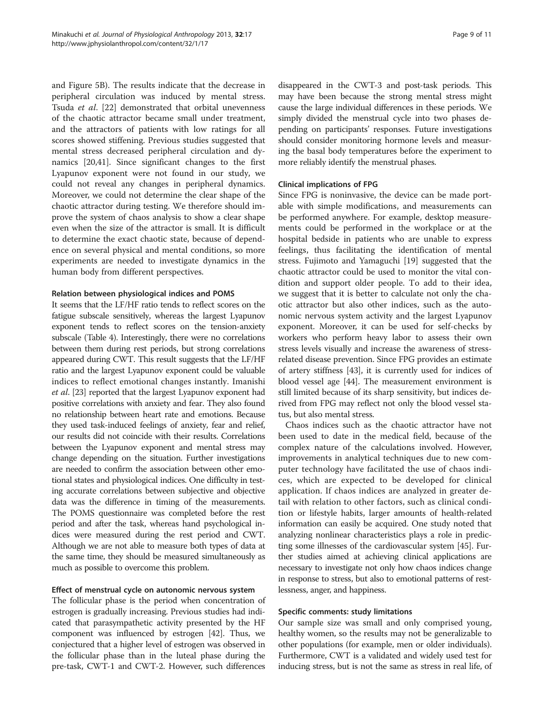and Figure [5](#page-6-0)B). The results indicate that the decrease in peripheral circulation was induced by mental stress. Tsuda et al. [[22](#page-10-0)] demonstrated that orbital unevenness of the chaotic attractor became small under treatment, and the attractors of patients with low ratings for all scores showed stiffening. Previous studies suggested that mental stress decreased peripheral circulation and dynamics [[20](#page-10-0),[41](#page-10-0)]. Since significant changes to the first Lyapunov exponent were not found in our study, we could not reveal any changes in peripheral dynamics. Moreover, we could not determine the clear shape of the chaotic attractor during testing. We therefore should improve the system of chaos analysis to show a clear shape even when the size of the attractor is small. It is difficult to determine the exact chaotic state, because of dependence on several physical and mental conditions, so more experiments are needed to investigate dynamics in the human body from different perspectives.

## Relation between physiological indices and POMS

It seems that the LF/HF ratio tends to reflect scores on the fatigue subscale sensitively, whereas the largest Lyapunov exponent tends to reflect scores on the tension-anxiety subscale (Table [4](#page-7-0)). Interestingly, there were no correlations between them during rest periods, but strong correlations appeared during CWT. This result suggests that the LF/HF ratio and the largest Lyapunov exponent could be valuable indices to reflect emotional changes instantly. Imanishi et al. [\[23\]](#page-10-0) reported that the largest Lyapunov exponent had positive correlations with anxiety and fear. They also found no relationship between heart rate and emotions. Because they used task-induced feelings of anxiety, fear and relief, our results did not coincide with their results. Correlations between the Lyapunov exponent and mental stress may change depending on the situation. Further investigations are needed to confirm the association between other emotional states and physiological indices. One difficulty in testing accurate correlations between subjective and objective data was the difference in timing of the measurements. The POMS questionnaire was completed before the rest period and after the task, whereas hand psychological indices were measured during the rest period and CWT. Although we are not able to measure both types of data at the same time, they should be measured simultaneously as much as possible to overcome this problem.

## Effect of menstrual cycle on autonomic nervous system

The follicular phase is the period when concentration of estrogen is gradually increasing. Previous studies had indicated that parasympathetic activity presented by the HF component was influenced by estrogen [\[42\]](#page-10-0). Thus, we conjectured that a higher level of estrogen was observed in the follicular phase than in the luteal phase during the pre-task, CWT-1 and CWT-2. However, such differences disappeared in the CWT-3 and post-task periods. This may have been because the strong mental stress might cause the large individual differences in these periods. We simply divided the menstrual cycle into two phases depending on participants' responses. Future investigations should consider monitoring hormone levels and measuring the basal body temperatures before the experiment to more reliably identify the menstrual phases.

## Clinical implications of FPG

Since FPG is noninvasive, the device can be made portable with simple modifications, and measurements can be performed anywhere. For example, desktop measurements could be performed in the workplace or at the hospital bedside in patients who are unable to express feelings, thus facilitating the identification of mental stress. Fujimoto and Yamaguchi [\[19](#page-10-0)] suggested that the chaotic attractor could be used to monitor the vital condition and support older people. To add to their idea, we suggest that it is better to calculate not only the chaotic attractor but also other indices, such as the autonomic nervous system activity and the largest Lyapunov exponent. Moreover, it can be used for self-checks by workers who perform heavy labor to assess their own stress levels visually and increase the awareness of stressrelated disease prevention. Since FPG provides an estimate of artery stiffness [[43](#page-10-0)], it is currently used for indices of blood vessel age [\[44\]](#page-10-0). The measurement environment is still limited because of its sharp sensitivity, but indices derived from FPG may reflect not only the blood vessel status, but also mental stress.

Chaos indices such as the chaotic attractor have not been used to date in the medical field, because of the complex nature of the calculations involved. However, improvements in analytical techniques due to new computer technology have facilitated the use of chaos indices, which are expected to be developed for clinical application. If chaos indices are analyzed in greater detail with relation to other factors, such as clinical condition or lifestyle habits, larger amounts of health-related information can easily be acquired. One study noted that analyzing nonlinear characteristics plays a role in predicting some illnesses of the cardiovascular system [[45](#page-10-0)]. Further studies aimed at achieving clinical applications are necessary to investigate not only how chaos indices change in response to stress, but also to emotional patterns of restlessness, anger, and happiness.

## Specific comments: study limitations

Our sample size was small and only comprised young, healthy women, so the results may not be generalizable to other populations (for example, men or older individuals). Furthermore, CWT is a validated and widely used test for inducing stress, but is not the same as stress in real life, of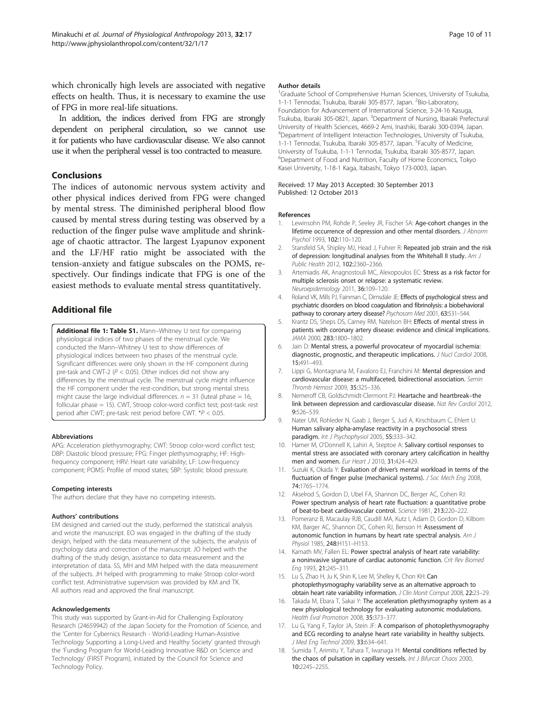<span id="page-9-0"></span>which chronically high levels are associated with negative effects on health. Thus, it is necessary to examine the use of FPG in more real-life situations.

In addition, the indices derived from FPG are strongly dependent on peripheral circulation, so we cannot use it for patients who have cardiovascular disease. We also cannot use it when the peripheral vessel is too contracted to measure.

## Conclusions

The indices of autonomic nervous system activity and other physical indices derived from FPG were changed by mental stress. The diminished peripheral blood flow caused by mental stress during testing was observed by a reduction of the finger pulse wave amplitude and shrinkage of chaotic attractor. The largest Lyapunov exponent and the LF/HF ratio might be associated with the tension-anxiety and fatigue subscales on the POMS, respectively. Our findings indicate that FPG is one of the easiest methods to evaluate mental stress quantitatively.

## Additional file

[Additional file 1: Table S1.](http://www.biomedcentral.com/content/supplementary/1880-6805-32-17-S1.xlsx) Mann-Whitney U test for comparing physiological indices of two phases of the menstrual cycle. We conducted the Mann–Whitney U test to show differences of physiological indices between two phases of the menstrual cycle. Significant differences were only shown in the HF component during pre-task and CWT-2 ( $P < 0.05$ ). Other indices did not show any differences by the menstrual cycle. The menstrual cycle might influence the HF component under the rest-condition, but strong mental stress might cause the large individual differences.  $n = 31$  (luteal phase = 16, follicular phase = 15). CWT, Stroop color-word conflict test; post-task: rest period after CWT; pre-task: rest period before CWT. \*P < 0.05.

#### Abbreviations

APG: Acceleration plethysmography; CWT: Stroop color-word conflict test; DBP: Diastolic blood pressure; FPG: Finger plethysmography; HF: Highfrequency component; HRV: Heart rate variability; LF: Low-frequency component; POMS: Profile of mood states; SBP: Systolic blood pressure.

#### Competing interests

The authors declare that they have no competing interests.

#### Authors' contributions

EM designed and carried out the study, performed the statistical analysis and wrote the manuscript. EO was engaged in the drafting of the study design, helped with the data measurement of the subjects, the analysis of psychology data and correction of the manuscript. JO helped with the drafting of the study design, assistance to data measurement and the interpretation of data. SS, MH and MM helped with the data measurement of the subjects. JH helped with programming to make Stroop color-word conflict test. Administrative supervision was provided by KM and TK. All authors read and approved the final manuscript.

#### Acknowledgements

This study was supported by Grant-in-Aid for Challenging Exploratory Research (24659942) of the Japan Society for the Promotion of Science, and the 'Center for Cybernics Research - World-Leading Human-Assistive Technology Supporting a Long-Lived and Healthy Society' granted through the 'Funding Program for World-Leading Innovative R&D on Science and Technology' (FIRST Program), initiated by the Council for Science and Technology Policy.

#### Author details

<sup>1</sup>Graduate School of Comprehensive Human Sciences, University of Tsukuba, 1-1-1 Tennodai, Tsukuba, Ibaraki 305-8577, Japan. <sup>2</sup>Bio-Laboratory Foundation for Advancement of International Science, 3-24-16 Kasuga, Tsukuba, Ibaraki 305-0821, Japan. <sup>3</sup>Department of Nursing, Ibaraki Prefectural University of Health Sciences, 4669-2 Ami, Inashiki, Ibaraki 300-0394, Japan. 4 Department of Intelligent Interaction Technologies, University of Tsukuba, 1-1-1 Tennodai, Tsukuba, Ibaraki 305-8577, Japan. <sup>5</sup>Faculty of Medicine, University of Tsukuba, 1-1-1 Tennodai, Tsukuba, Ibaraki 305-8577, Japan. 6 Department of Food and Nutrition, Faculty of Home Economics, Tokyo Kasei University, 1-18-1 Kaga, Itabashi, Tokyo 173-0003, Japan.

#### Received: 17 May 2013 Accepted: 30 September 2013 Published: 12 October 2013

#### References

- 1. Lewinsohn PM, Rohde P, Seeley JR, Fischer SA: Age-cohort changes in the lifetime occurrence of depression and other mental disorders. J Abnorm Psychol 1993, 102:110–120.
- 2. Stansfeld SA, Shipley MJ, Head J, Fuhrer R: Repeated job strain and the risk of depression: longitudinal analyses from the Whitehall II study. Am J Public Health 2012, 102:2360–2366.
- 3. Artemiadis AK, Anagnostouli MC, Alexopoulos EC: Stress as a risk factor for multiple sclerosis onset or relapse: a systematic review. Neuroepidemiology 2011, 36:109–120.
- 4. Roland VK, Mills PJ, Fainman C, Dimsdale JE: Effects of psychological stress and psychiatric disorders on blood coagulation and fibrinolysis: a biobehavioral pathway to coronary artery disease? Psychosom Med 2001, 63:531-544.
- 5. Krantz DS, Sheps DS, Carney RM, Natelson BH: Effects of mental stress in patients with coronary artery disease: evidence and clinical implications. JAMA 2000, 283:1800–1802.
- 6. Jain D: Mental stress, a powerful provocateur of myocardial ischemia: diagnostic, prognostic, and therapeutic implications. J Nucl Cardiol 2008, 15:491–493.
- 7. Lippi G, Montagnana M, Favaloro EJ, Franchini M: Mental depression and cardiovascular disease: a multifaceted, bidirectional association. Semin Thromb Hemost 2009, 35:325–336.
- 8. Nemeroff CB, Goldschmidt-Clermont PJ: Heartache and heartbreak-the link between depression and cardiovascular disease. Nat Rev Cardiol 2012, 9:526–539.
- 9. Nater UM, Rohleder N, Gaab J, Berger S, Jud A, Kirschbaum C, Ehlert U: Human salivary alpha-amylase reactivity in a psychosocial stress paradigm. Int J Psychophysiol 2005, 55:333–342.
- 10. Hamer M, O'Donnell K, Lahiri A, Steptoe A: Salivary cortisol responses to mental stress are associated with coronary artery calcification in healthy men and women. Eur Heart J 2010, 31:424-429.
- 11. Suzuki K, Okada Y: Evaluation of driver's mental workload in terms of the fluctuation of finger pulse (mechanical systems). J Soc Mech Eng 2008, 74:1765–1774.
- 12. Akselrod S, Gordon D, Ubel FA, Shannon DC, Berger AC, Cohen RJ: Power spectrum analysis of heart rate fluctuation: a quantitative probe of beat-to-beat cardiovascular control. Science 1981, 213:220–222.
- 13. Pomeranz B, Macaulay RJB, Caudill MA, Kutz I, Adam D, Gordon D, Kilborn KM, Barger AC, Shannon DC, Cohen RJ, Benson H: Assessment of autonomic function in humans by heart rate spectral analysis. Am J Physiol 1985, 248:H151–H153.
- 14. Kamath MV, Fallen EL: Power spectral analysis of heart rate variability: a noninvasive signature of cardiac autonomic function. Crit Rev Biomed Eng 1993, 21:245–311.
- 15. Lu S, Zhao H, Ju K, Shin K, Lee M, Shelley K, Chon KH: Can photoplethysmography variability serve as an alternative approach to obtain heart rate variability information. J Clin Monit Comput 2008, 22:23–29.
- 16. Takada M, Ebara T, Sakai Y: The acceleration plethysmography system as a new physiological technology for evaluating autonomic modulations. Health Eval Promotion 2008, 35:373–377.
- 17. Lu G, Yang F, Taylor JA, Stein JF: A comparison of photoplethysmography and ECG recording to analyse heart rate variability in healthy subjects. J Med Eng Technol 2009, 33:634-641.
- 18. Sumida T, Arimitu Y, Tahara T, Iwanaga H: Mental conditions reflected by the chaos of pulsation in capillary vessels. Int J Bifurcat Chaos 2000, 10:2245–2255.